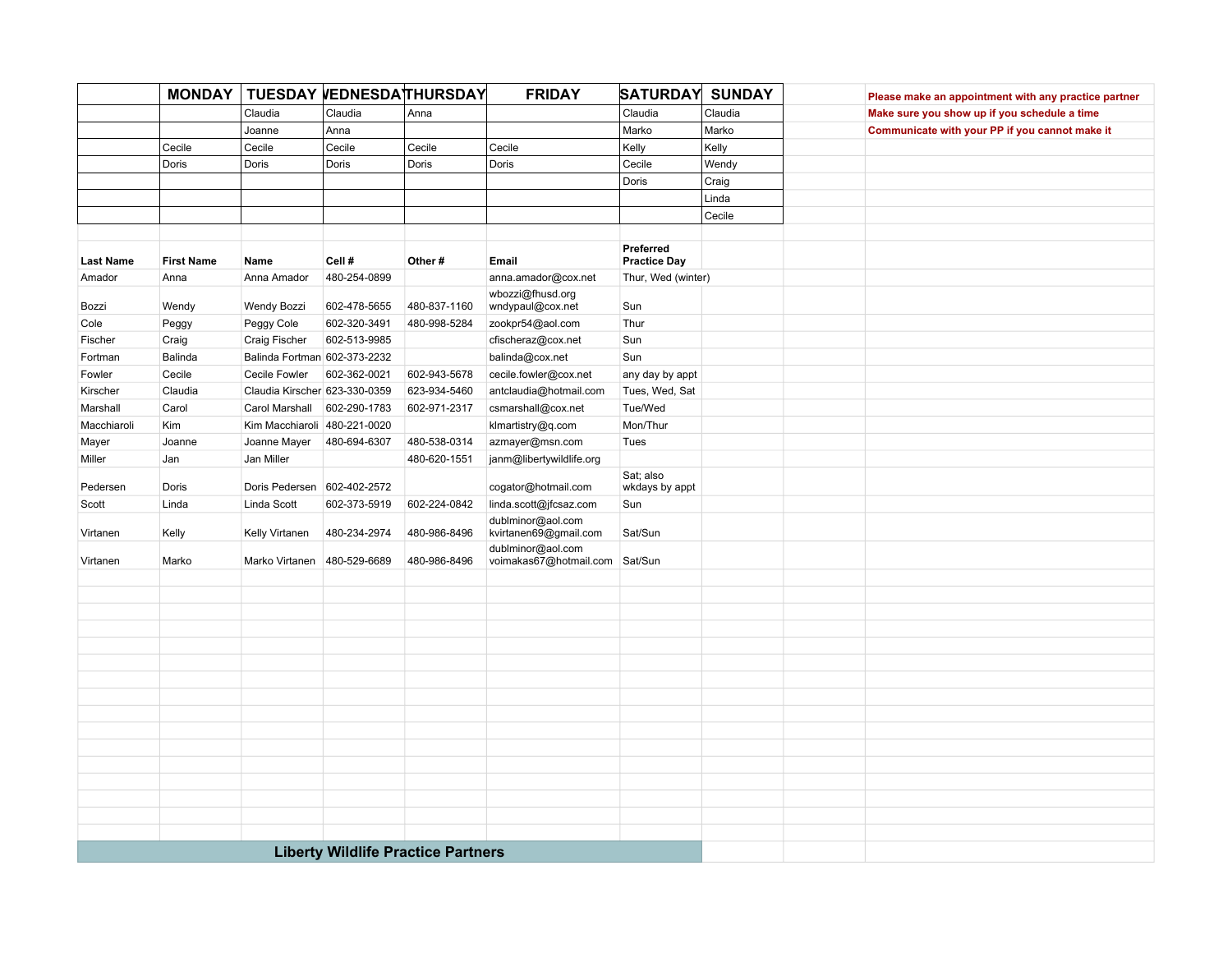|                  | <b>MONDAY</b>     |                               | TUESDAY VEDNESDATHURSDAY                  |              | <b>FRIDAY</b>                               | <b>SATURDAY</b>                  | <b>SUNDAY</b> | Please make an appointment with any practice partner |
|------------------|-------------------|-------------------------------|-------------------------------------------|--------------|---------------------------------------------|----------------------------------|---------------|------------------------------------------------------|
|                  |                   | Claudia                       | Claudia                                   | Anna         |                                             | Claudia                          | Claudia       | Make sure you show up if you schedule a time         |
|                  |                   | Joanne                        | Anna                                      |              |                                             | Marko                            | Marko         | Communicate with your PP if you cannot make it       |
|                  | Cecile            | Cecile                        | Cecile                                    | Cecile       | Cecile                                      | Kelly                            | Kelly         |                                                      |
|                  | Doris             | Doris                         | Doris                                     | Doris        | Doris                                       | Cecile                           | Wendy         |                                                      |
|                  |                   |                               |                                           |              |                                             | Doris                            | Craig         |                                                      |
|                  |                   |                               |                                           |              |                                             |                                  | Linda         |                                                      |
|                  |                   |                               |                                           |              |                                             |                                  | Cecile        |                                                      |
|                  |                   |                               |                                           |              |                                             |                                  |               |                                                      |
| <b>Last Name</b> | <b>First Name</b> | Name                          | Cell#                                     | Other#       | Email                                       | Preferred<br><b>Practice Day</b> |               |                                                      |
| Amador           | Anna              | Anna Amador                   | 480-254-0899                              |              | anna.amador@cox.net                         | Thur, Wed (winter)               |               |                                                      |
| Bozzi            | Wendy             | Wendy Bozzi                   | 602-478-5655                              | 480-837-1160 | wbozzi@fhusd.org<br>wndypaul@cox.net        | Sun                              |               |                                                      |
| Cole             | Peggy             | Peggy Cole                    | 602-320-3491                              | 480-998-5284 | zookpr54@aol.com                            | Thur                             |               |                                                      |
| Fischer          | Craig             | Craig Fischer                 | 602-513-9985                              |              | cfischeraz@cox.net                          | Sun                              |               |                                                      |
| Fortman          | Balinda           | Balinda Fortman 602-373-2232  |                                           |              | balinda@cox.net                             | Sun                              |               |                                                      |
| Fowler           | Cecile            | Cecile Fowler                 | 602-362-0021                              | 602-943-5678 | cecile.fowler@cox.net                       | any day by appt                  |               |                                                      |
| Kirscher         | Claudia           | Claudia Kirscher 623-330-0359 |                                           | 623-934-5460 | antclaudia@hotmail.com                      | Tues, Wed, Sat                   |               |                                                      |
| Marshall         | Carol             | Carol Marshall                | 602-290-1783                              | 602-971-2317 | csmarshall@cox.net                          | Tue/Wed                          |               |                                                      |
| Macchiaroli      | Kim               | Kim Macchiaroli 480-221-0020  |                                           |              | klmartistry@q.com                           | Mon/Thur                         |               |                                                      |
| Mayer            | Joanne            | Joanne Mayer                  | 480-694-6307                              | 480-538-0314 | azmayer@msn.com                             | Tues                             |               |                                                      |
| Miller           | Jan               | Jan Miller                    |                                           | 480-620-1551 | janm@libertywildlife.org                    |                                  |               |                                                      |
| Pedersen         | Doris             | Doris Pedersen 602-402-2572   |                                           |              | cogator@hotmail.com                         | Sat; also<br>wkdays by appt      |               |                                                      |
| Scott            | Linda             | Linda Scott                   | 602-373-5919                              | 602-224-0842 | linda.scott@jfcsaz.com                      | Sun                              |               |                                                      |
| Virtanen         | Kelly             | Kelly Virtanen                | 480-234-2974                              | 480-986-8496 | dublminor@aol.com<br>kvirtanen69@gmail.com  | Sat/Sun                          |               |                                                      |
| Virtanen         | Marko             | Marko Virtanen                | 480-529-6689                              | 480-986-8496 | dublminor@aol.com<br>voimakas67@hotmail.com | Sat/Sun                          |               |                                                      |
|                  |                   |                               |                                           |              |                                             |                                  |               |                                                      |
|                  |                   |                               |                                           |              |                                             |                                  |               |                                                      |
|                  |                   |                               |                                           |              |                                             |                                  |               |                                                      |
|                  |                   |                               |                                           |              |                                             |                                  |               |                                                      |
|                  |                   |                               |                                           |              |                                             |                                  |               |                                                      |
|                  |                   |                               |                                           |              |                                             |                                  |               |                                                      |
|                  |                   |                               |                                           |              |                                             |                                  |               |                                                      |
|                  |                   |                               |                                           |              |                                             |                                  |               |                                                      |
|                  |                   |                               |                                           |              |                                             |                                  |               |                                                      |
|                  |                   |                               |                                           |              |                                             |                                  |               |                                                      |
|                  |                   |                               |                                           |              |                                             |                                  |               |                                                      |
|                  |                   |                               |                                           |              |                                             |                                  |               |                                                      |
|                  |                   |                               |                                           |              |                                             |                                  |               |                                                      |
|                  |                   |                               |                                           |              |                                             |                                  |               |                                                      |
|                  |                   |                               |                                           |              |                                             |                                  |               |                                                      |
|                  |                   |                               |                                           |              |                                             |                                  |               |                                                      |
|                  |                   |                               | <b>Liberty Wildlife Practice Partners</b> |              |                                             |                                  |               |                                                      |